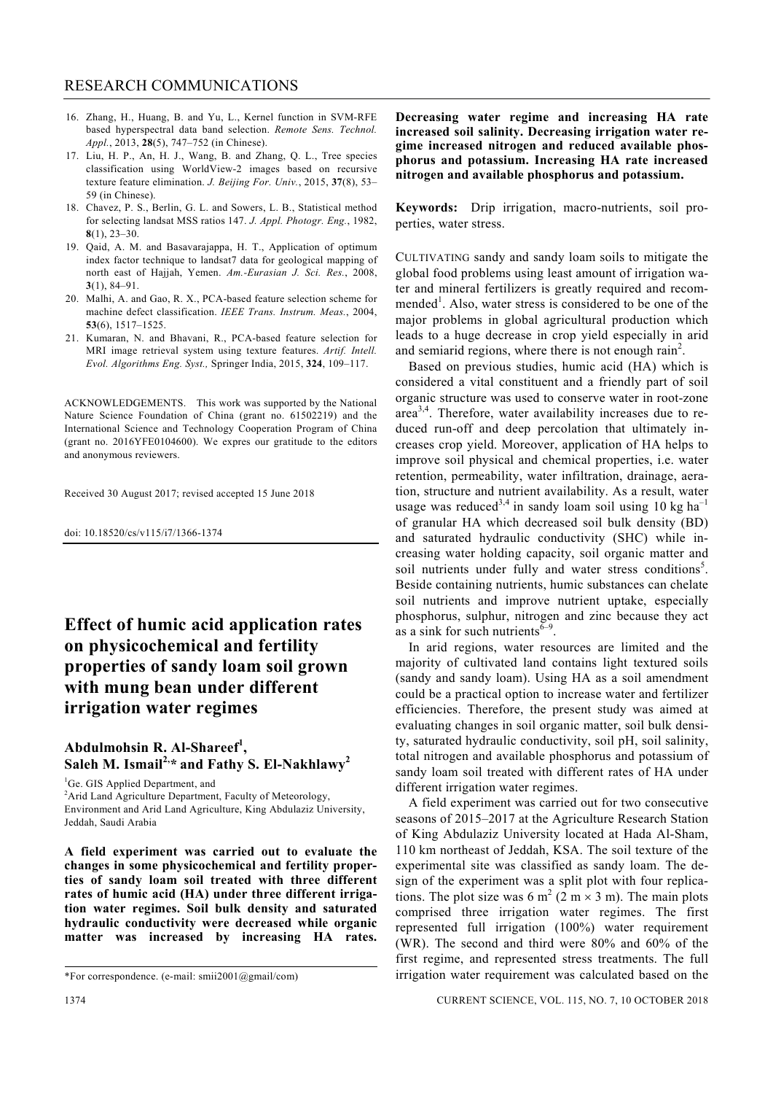- 16. Zhang, H., Huang, B. and Yu, L., Kernel function in SVM-RFE based hyperspectral data band selection. *Remote Sens. Technol. Appl.*, 2013, **28**(5), 747–752 (in Chinese).
- 17. Liu, H. P., An, H. J., Wang, B. and Zhang, Q. L., Tree species classification using WorldView-2 images based on recursive texture feature elimination. *J. Beijing For. Univ.*, 2015, **37**(8), 53– 59 (in Chinese).
- 18. Chavez, P. S., Berlin, G. L. and Sowers, L. B., Statistical method for selecting landsat MSS ratios 147. *J. Appl. Photogr. Eng.*, 1982, **8**(1), 23–30.
- 19. Qaid, A. M. and Basavarajappa, H. T., Application of optimum index factor technique to landsat7 data for geological mapping of north east of Hajjah, Yemen. *Am.-Eurasian J. Sci. Res.*, 2008, **3**(1), 84–91.
- 20. Malhi, A. and Gao, R. X., PCA-based feature selection scheme for machine defect classification. *IEEE Trans. Instrum. Meas.*, 2004, **53**(6), 1517–1525.
- 21. Kumaran, N. and Bhavani, R., PCA-based feature selection for MRI image retrieval system using texture features. *Artif. Intell. Evol. Algorithms Eng. Syst.,* Springer India, 2015, **324**, 109–117.

ACKNOWLEDGEMENTS. This work was supported by the National Nature Science Foundation of China (grant no. 61502219) and the International Science and Technology Cooperation Program of China (grant no. 2016YFE0104600). We expres our gratitude to the editors and anonymous reviewers.

Received 30 August 2017; revised accepted 15 June 2018

doi: 10.18520/cs/v115/i7/1366-1374

**Effect of humic acid application rates on physicochemical and fertility properties of sandy loam soil grown with mung bean under different irrigation water regimes** 

## **Abdulmohsin R. Al-Shareef<sup>1</sup> , Saleh M. Ismail2,\* and Fathy S. El-Nakhlawy<sup>2</sup>**

<sup>1</sup>Ge. GIS Applied Department, and <sup>2</sup>Arid Land Agriculture Department, Faculty of Meteorology, Environment and Arid Land Agriculture, King Abdulaziz University, Jeddah, Saudi Arabia

**A field experiment was carried out to evaluate the changes in some physicochemical and fertility properties of sandy loam soil treated with three different rates of humic acid (HA) under three different irrigation water regimes. Soil bulk density and saturated hydraulic conductivity were decreased while organic matter was increased by increasing HA rates.** 

**Decreasing water regime and increasing HA rate increased soil salinity. Decreasing irrigation water regime increased nitrogen and reduced available phosphorus and potassium. Increasing HA rate increased nitrogen and available phosphorus and potassium.** 

**Keywords:** Drip irrigation, macro-nutrients, soil properties, water stress.

CULTIVATING sandy and sandy loam soils to mitigate the global food problems using least amount of irrigation water and mineral fertilizers is greatly required and recommended<sup>1</sup>. Also, water stress is considered to be one of the major problems in global agricultural production which leads to a huge decrease in crop yield especially in arid and semiarid regions, where there is not enough rain<sup>2</sup>.

 Based on previous studies, humic acid (HA) which is considered a vital constituent and a friendly part of soil organic structure was used to conserve water in root-zone area $3,4$ . Therefore, water availability increases due to reduced run-off and deep percolation that ultimately increases crop yield. Moreover, application of HA helps to improve soil physical and chemical properties, i.e. water retention, permeability, water infiltration, drainage, aeration, structure and nutrient availability. As a result, water usage was reduced<sup>3,4</sup> in sandy loam soil using 10 kg ha<sup>-1</sup> of granular HA which decreased soil bulk density (BD) and saturated hydraulic conductivity (SHC) while increasing water holding capacity, soil organic matter and soil nutrients under fully and water stress conditions<sup>5</sup>. Beside containing nutrients, humic substances can chelate soil nutrients and improve nutrient uptake, especially phosphorus, sulphur, nitrogen and zinc because they act as a sink for such nutrients $6-9$ .

 In arid regions, water resources are limited and the majority of cultivated land contains light textured soils (sandy and sandy loam). Using HA as a soil amendment could be a practical option to increase water and fertilizer efficiencies. Therefore, the present study was aimed at evaluating changes in soil organic matter, soil bulk density, saturated hydraulic conductivity, soil pH, soil salinity, total nitrogen and available phosphorus and potassium of sandy loam soil treated with different rates of HA under different irrigation water regimes.

 A field experiment was carried out for two consecutive seasons of 2015–2017 at the Agriculture Research Station of King Abdulaziz University located at Hada Al-Sham, 110 km northeast of Jeddah, KSA. The soil texture of the experimental site was classified as sandy loam. The design of the experiment was a split plot with four replications. The plot size was 6 m<sup>2</sup> (2 m  $\times$  3 m). The main plots comprised three irrigation water regimes. The first represented full irrigation (100%) water requirement (WR). The second and third were 80% and 60% of the first regime, and represented stress treatments. The full irrigation water requirement was calculated based on the

<sup>\*</sup>For correspondence. (e-mail: smii2001@gmail/com)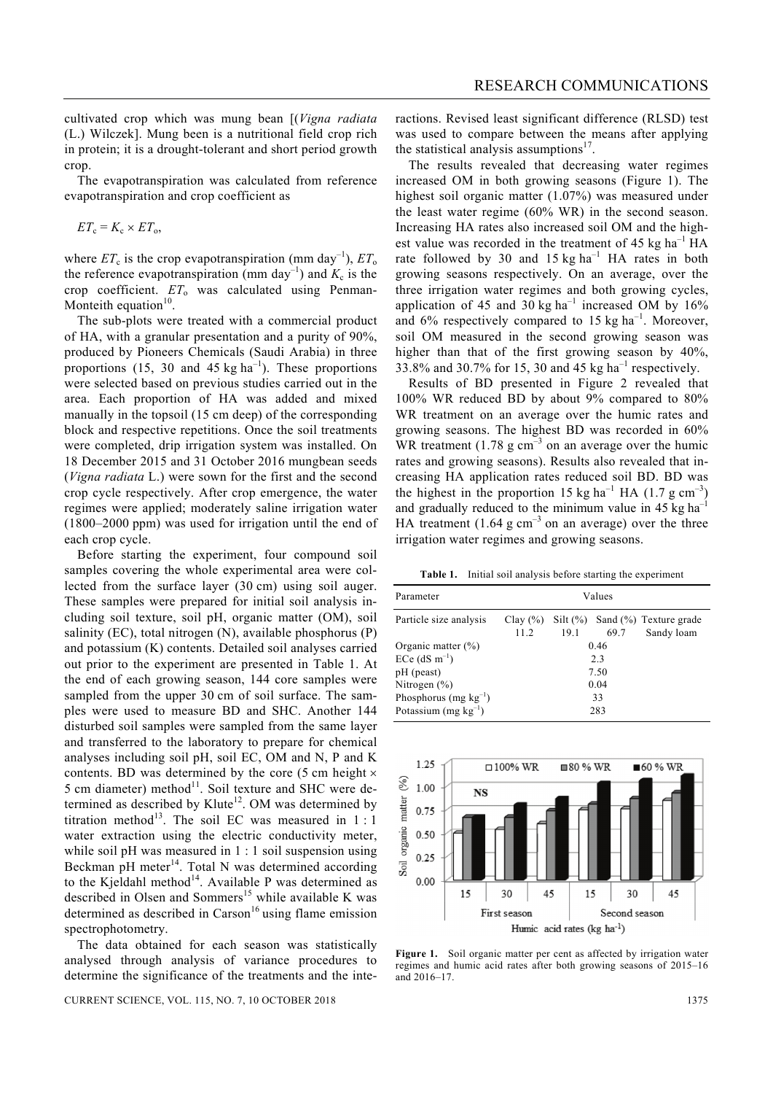cultivated crop which was mung bean [(*Vigna radiata* (L.) Wilczek]. Mung been is a nutritional field crop rich in protein; it is a drought-tolerant and short period growth crop.

 The evapotranspiration was calculated from reference evapotranspiration and crop coefficient as

$$
ET_{\rm c}=K_{\rm c}\times ET_{\rm o},
$$

where  $ET_c$  is the crop evapotranspiration (mm day<sup>-1</sup>),  $ET_o$ the reference evapotranspiration (mm day<sup>-1</sup>) and  $K_c$  is the crop coefficient.  $ET_0$  was calculated using Penman-Monteith equation $10$ .

 The sub-plots were treated with a commercial product of HA, with a granular presentation and a purity of 90%, produced by Pioneers Chemicals (Saudi Arabia) in three proportions  $(15, 30, \text{and } 45 \text{ kg ha}^{-1})$ . These proportions were selected based on previous studies carried out in the area. Each proportion of HA was added and mixed manually in the topsoil (15 cm deep) of the corresponding block and respective repetitions. Once the soil treatments were completed, drip irrigation system was installed. On 18 December 2015 and 31 October 2016 mungbean seeds (*Vigna radiata* L.) were sown for the first and the second crop cycle respectively. After crop emergence, the water regimes were applied; moderately saline irrigation water (1800–2000 ppm) was used for irrigation until the end of each crop cycle.

 Before starting the experiment, four compound soil samples covering the whole experimental area were collected from the surface layer (30 cm) using soil auger. These samples were prepared for initial soil analysis including soil texture, soil pH, organic matter (OM), soil salinity (EC), total nitrogen (N), available phosphorus (P) and potassium (K) contents. Detailed soil analyses carried out prior to the experiment are presented in Table 1. At the end of each growing season, 144 core samples were sampled from the upper 30 cm of soil surface. The samples were used to measure BD and SHC. Another 144 disturbed soil samples were sampled from the same layer and transferred to the laboratory to prepare for chemical analyses including soil pH, soil EC, OM and N, P and K contents. BD was determined by the core (5 cm height  $\times$ 5 cm diameter) method $^{11}$ . Soil texture and SHC were determined as described by Klute<sup>12</sup>. OM was determined by titration method<sup>13</sup>. The soil EC was measured in  $1:1$ water extraction using the electric conductivity meter, while soil pH was measured in 1 : 1 soil suspension using Beckman pH meter<sup>14</sup>. Total N was determined according to the Kjeldahl method<sup>14</sup>. Available P was determined as described in Olsen and Sommers<sup>15</sup> while available K was determined as described in Carson<sup>16</sup> using flame emission spectrophotometry.

 The data obtained for each season was statistically analysed through analysis of variance procedures to determine the significance of the treatments and the inte-

CURRENT SCIENCE, VOL. 115, NO. 7, 10 OCTOBER 2018 1375

ractions. Revised least significant difference (RLSD) test was used to compare between the means after applying the statistical analysis assumptions $17$ .

 The results revealed that decreasing water regimes increased OM in both growing seasons (Figure 1). The highest soil organic matter (1.07%) was measured under the least water regime (60% WR) in the second season. Increasing HA rates also increased soil OM and the highest value was recorded in the treatment of 45 kg ha<sup>-1</sup> HA rate followed by 30 and 15 kg  $ha^{-1}$  HA rates in both growing seasons respectively. On an average, over the three irrigation water regimes and both growing cycles, application of 45 and 30 kg ha<sup>-1</sup> increased OM by 16% and  $6\%$  respectively compared to 15 kg ha<sup>-1</sup>. Moreover, soil OM measured in the second growing season was higher than that of the first growing season by 40%, 33.8% and 30.7% for 15, 30 and 45 kg ha<sup>-1</sup> respectively.

 Results of BD presented in Figure 2 revealed that 100% WR reduced BD by about 9% compared to 80% WR treatment on an average over the humic rates and growing seasons. The highest BD was recorded in 60% WR treatment  $(1.78 \text{ g cm}^{-3})$  on an average over the humic rates and growing seasons). Results also revealed that increasing HA application rates reduced soil BD. BD was the highest in the proportion 15 kg ha<sup>-1</sup> HA (1.7 g cm<sup>-3</sup>) and gradually reduced to the minimum value in  $45 \text{ kg ha}^{-1}$ HA treatment  $(1.64 \text{ g cm}^{-3})$  on an average) over the three irrigation water regimes and growing seasons.

**Table 1.** Initial soil analysis before starting the experiment

| Parameter                   | Values |      |      |                                                   |  |  |  |
|-----------------------------|--------|------|------|---------------------------------------------------|--|--|--|
| Particle size analysis      |        |      |      | Clay $(\%)$ Silt $(\%)$ Sand $(\%)$ Texture grade |  |  |  |
|                             | 11.2   | 19.1 | 69.7 | Sandy loam                                        |  |  |  |
| Organic matter $(\% )$      | 0.46   |      |      |                                                   |  |  |  |
| $ECe$ (dS m <sup>-1</sup> ) |        |      | 2.3  |                                                   |  |  |  |
| $pH$ (peast)                | 7.50   |      |      |                                                   |  |  |  |
| Nitrogen $(\% )$            |        |      | 0.04 |                                                   |  |  |  |
| Phosphorus (mg $kg^{-1}$ )  |        |      | 33   |                                                   |  |  |  |
| Potassium (mg $kg^{-1}$ )   |        |      | 283  |                                                   |  |  |  |



Figure 1. Soil organic matter per cent as affected by irrigation water regimes and humic acid rates after both growing seasons of 2015–16 and 2016–17.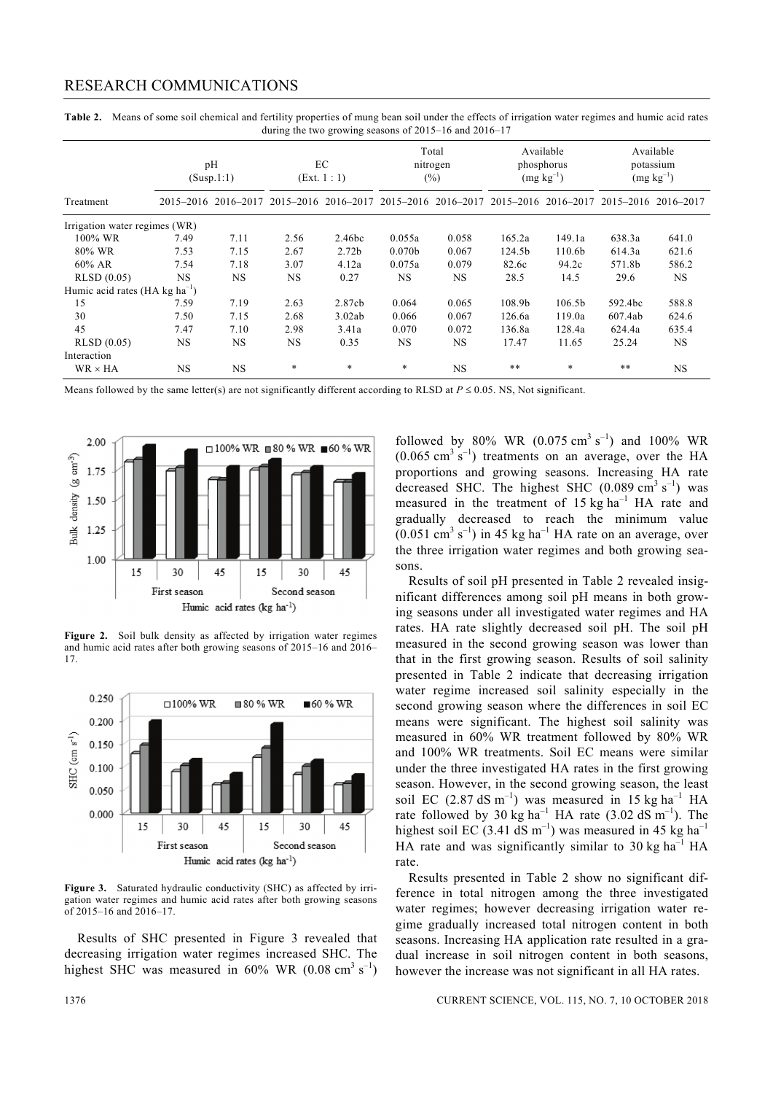### RESEARCH COMMUNICATIONS

|                                              | pH<br>(Susp.1:1) |                     | EC<br>(Ext. 1: 1) |                     | Total<br>nitrogen<br>$(\% )$ |                     | Available<br>phosphorus<br>$(mg kg^{-1})$ |                     | Available<br>potassium<br>$(mg kg^{-1})$ |                     |
|----------------------------------------------|------------------|---------------------|-------------------|---------------------|------------------------------|---------------------|-------------------------------------------|---------------------|------------------------------------------|---------------------|
| Treatment                                    |                  | 2015-2016 2016-2017 |                   | 2015-2016 2016-2017 |                              | 2015-2016 2016-2017 |                                           | 2015-2016 2016-2017 |                                          | 2015-2016 2016-2017 |
| Irrigation water regimes (WR)                |                  |                     |                   |                     |                              |                     |                                           |                     |                                          |                     |
| 100% WR                                      | 7.49             | 7.11                | 2.56              | 2.46bc              | 0.055a                       | 0.058               | 165.2a                                    | 149.1a              | 638.3a                                   | 641.0               |
| 80% WR                                       | 7.53             | 7.15                | 2.67              | 2.72 <sub>b</sub>   | 0.070 <sub>b</sub>           | 0.067               | 124.5b                                    | 110.6 <sub>b</sub>  | 614.3a                                   | 621.6               |
| $60\%$ AR                                    | 7.54             | 7.18                | 3.07              | 4.12a               | 0.075a                       | 0.079               | 82.6c                                     | 94.2c               | 571.8b                                   | 586.2               |
| RLSD(0.05)                                   | <b>NS</b>        | <b>NS</b>           | <b>NS</b>         | 0.27                | NS.                          | <b>NS</b>           | 28.5                                      | 14.5                | 29.6                                     | <b>NS</b>           |
| Humic acid rates (HA $kg$ ha <sup>-1</sup> ) |                  |                     |                   |                     |                              |                     |                                           |                     |                                          |                     |
| 15                                           | 7.59             | 7.19                | 2.63              | 2.87cb              | 0.064                        | 0.065               | 108.9b                                    | 106.5b              | 592.4bc                                  | 588.8               |
| 30                                           | 7.50             | 7.15                | 2.68              | 3.02ab              | 0.066                        | 0.067               | 126.6a                                    | 119.0a              | 607.4ab                                  | 624.6               |
| 45                                           | 7.47             | 7.10                | 2.98              | 3.41a               | 0.070                        | 0.072               | 136.8a                                    | 128.4a              | 624.4a                                   | 635.4               |
| RLSD(0.05)                                   | <b>NS</b>        | <b>NS</b>           | <b>NS</b>         | 0.35                | NS.                          | <b>NS</b>           | 17.47                                     | 11.65               | 25.24                                    | <b>NS</b>           |
| Interaction                                  |                  |                     |                   |                     |                              |                     |                                           |                     |                                          |                     |
| $WR \times HA$                               | <b>NS</b>        | <b>NS</b>           | $\ast$            | *                   | $\ast$                       | <b>NS</b>           | **                                        | *                   | **                                       | <b>NS</b>           |

**Table 2.** Means of some soil chemical and fertility properties of mung bean soil under the effects of irrigation water regimes and humic acid rates during the two growing seasons of 2015–16 and 2016–17

Means followed by the same letter(s) are not significantly different according to RLSD at  $P \le 0.05$ . NS, Not significant.



Figure 2. Soil bulk density as affected by irrigation water regimes and humic acid rates after both growing seasons of 2015–16 and 2016– 17.



**Figure 3.** Saturated hydraulic conductivity (SHC) as affected by irrigation water regimes and humic acid rates after both growing seasons of 2015–16 and 2016–17.

 Results of SHC presented in Figure 3 revealed that decreasing irrigation water regimes increased SHC. The highest SHC was measured in  $60\%$  WR  $(0.08 \text{ cm}^3 \text{ s}^{-1})$ 

followed by 80% WR  $(0.075 \text{ cm}^3 \text{ s}^{-1})$  and 100% WR  $(0.065 \text{ cm}^3 \text{ s}^{-1})$  treatments on an average, over the HA proportions and growing seasons. Increasing HA rate decreased SHC. The highest SHC  $(0.089 \text{ cm}^3 \text{ s}^{-1})$  was measured in the treatment of  $15 \text{ kg ha}^{-1}$  HA rate and gradually decreased to reach the minimum value  $(0.051 \text{ cm}^3 \text{ s}^{-1})$  in 45 kg ha<sup>-1</sup> HA rate on an average, over the three irrigation water regimes and both growing seasons.

 Results of soil pH presented in Table 2 revealed insignificant differences among soil pH means in both growing seasons under all investigated water regimes and HA rates. HA rate slightly decreased soil pH. The soil pH measured in the second growing season was lower than that in the first growing season. Results of soil salinity presented in Table 2 indicate that decreasing irrigation water regime increased soil salinity especially in the second growing season where the differences in soil EC means were significant. The highest soil salinity was measured in 60% WR treatment followed by 80% WR and 100% WR treatments. Soil EC means were similar under the three investigated HA rates in the first growing season. However, in the second growing season, the least soil EC  $(2.87 \text{ dS m}^{-1})$  was measured in 15 kg ha<sup>-1</sup> HA rate followed by 30 kg ha<sup>-1</sup> HA rate (3.02 dS m<sup>-1</sup>). The highest soil EC (3.41 dS m<sup>-1</sup>) was measured in 45 kg ha<sup>-1</sup> HA rate and was significantly similar to 30 kg ha<sup>-1</sup> HA rate.

 Results presented in Table 2 show no significant difference in total nitrogen among the three investigated water regimes; however decreasing irrigation water regime gradually increased total nitrogen content in both seasons. Increasing HA application rate resulted in a gradual increase in soil nitrogen content in both seasons, however the increase was not significant in all HA rates.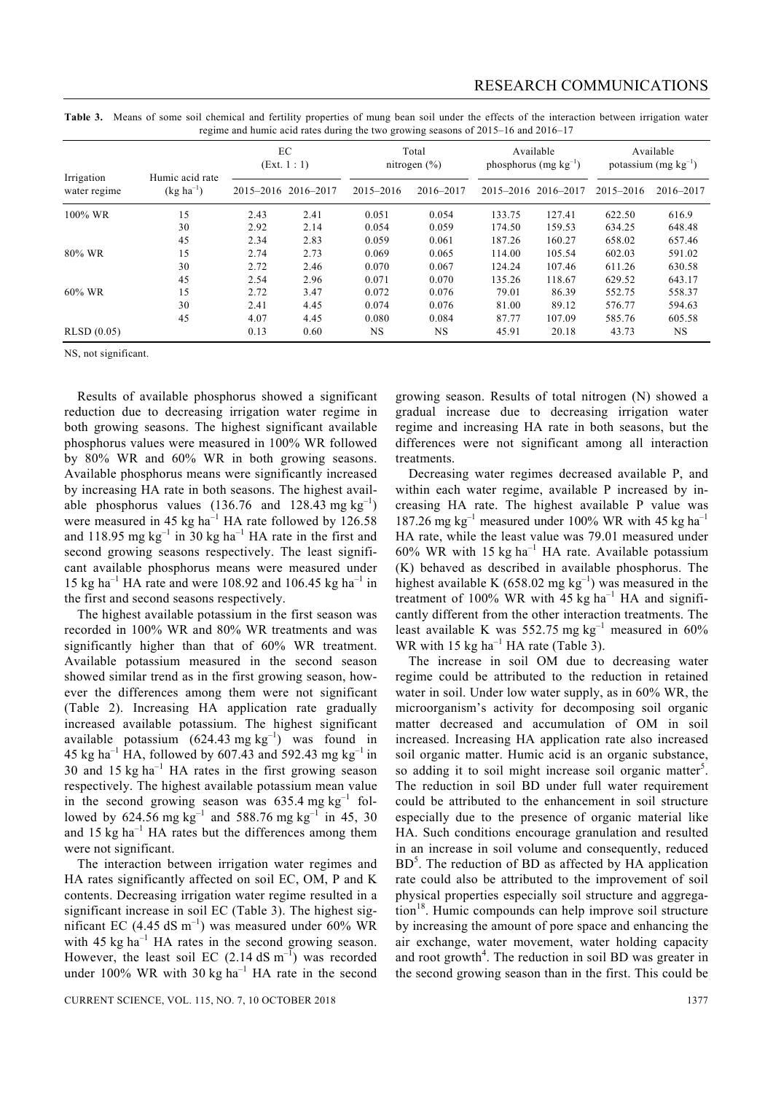**Table 3.** Means of some soil chemical and fertility properties of mung bean soil under the effects of the interaction between irrigation water regime and humic acid rates during the two growing seasons of 2015–16 and 2016–17

|                            | Humic acid rate | EC<br>(Ext. 1: 1) |                     | Total<br>nitrogen $(\% )$ |           | Available<br>phosphorus (mg $kg^{-1}$ ) |        | Available<br>potassium (mg $kg^{-1}$ ) |           |
|----------------------------|-----------------|-------------------|---------------------|---------------------------|-----------|-----------------------------------------|--------|----------------------------------------|-----------|
| Irrigation<br>water regime | $(kg ha^{-1})$  |                   | 2015-2016 2016-2017 | 2015-2016                 | 2016-2017 | 2015-2016 2016-2017                     |        | 2015-2016                              | 2016-2017 |
| 100% WR                    | 15              | 2.43              | 2.41                | 0.051                     | 0.054     | 133.75                                  | 127.41 | 622.50                                 | 616.9     |
|                            | 30              | 2.92              | 2.14                | 0.054                     | 0.059     | 174.50                                  | 159.53 | 634.25                                 | 648.48    |
|                            | 45              | 2.34              | 2.83                | 0.059                     | 0.061     | 187.26                                  | 160.27 | 658.02                                 | 657.46    |
| 80% WR                     | 15              | 2.74              | 2.73                | 0.069                     | 0.065     | 114.00                                  | 105.54 | 602.03                                 | 591.02    |
|                            | 30              | 2.72              | 2.46                | 0.070                     | 0.067     | 124.24                                  | 107.46 | 611.26                                 | 630.58    |
|                            | 45              | 2.54              | 2.96                | 0.071                     | 0.070     | 135.26                                  | 118.67 | 629.52                                 | 643.17    |
| 60% WR                     | 15              | 2.72              | 3.47                | 0.072                     | 0.076     | 79.01                                   | 86.39  | 552.75                                 | 558.37    |
|                            | 30              | 2.41              | 4.45                | 0.074                     | 0.076     | 81.00                                   | 89.12  | 576.77                                 | 594.63    |
|                            | 45              | 4.07              | 4.45                | 0.080                     | 0.084     | 87.77                                   | 107.09 | 585.76                                 | 605.58    |
| RLSD(0.05)                 |                 | 0.13              | 0.60                | NS.                       | <b>NS</b> | 45.91                                   | 20.18  | 43.73                                  | <b>NS</b> |

NS, not significant.

 Results of available phosphorus showed a significant reduction due to decreasing irrigation water regime in both growing seasons. The highest significant available phosphorus values were measured in 100% WR followed by 80% WR and 60% WR in both growing seasons. Available phosphorus means were significantly increased by increasing HA rate in both seasons. The highest available phosphorus values  $(136.76 \text{ and } 128.43 \text{ mg kg}^{-1})$ were measured in 45 kg  $ha^{-1}$  HA rate followed by 126.58 and 118.95 mg  $kg^{-1}$  in 30 kg ha<sup>-1</sup> HA rate in the first and second growing seasons respectively. The least significant available phosphorus means were measured under 15 kg ha<sup>-1</sup> HA rate and were 108.92 and 106.45 kg ha<sup>-1</sup> in the first and second seasons respectively.

 The highest available potassium in the first season was recorded in 100% WR and 80% WR treatments and was significantly higher than that of 60% WR treatment. Available potassium measured in the second season showed similar trend as in the first growing season, however the differences among them were not significant (Table 2). Increasing HA application rate gradually increased available potassium. The highest significant available potassium  $(624.43 \text{ mg kg}^{-1})$  was found in 45 kg ha<sup>-1</sup> HA, followed by 607.43 and 592.43 mg kg<sup>-1</sup> in 30 and 15 kg  $ha^{-1}$  HA rates in the first growing season respectively. The highest available potassium mean value in the second growing season was  $635.4$  mg kg<sup>-1</sup> followed by  $624.56$  mg kg<sup>-1</sup> and  $588.76$  mg kg<sup>-1</sup> in 45, 30 and  $15 \text{ kg ha}^{-1}$  HA rates but the differences among them were not significant.

 The interaction between irrigation water regimes and HA rates significantly affected on soil EC, OM, P and K contents. Decreasing irrigation water regime resulted in a significant increase in soil EC (Table 3). The highest significant EC (4.45 dS  $m^{-1}$ ) was measured under 60% WR with  $45 \text{ kg ha}^{-1}$  HA rates in the second growing season. However, the least soil EC  $(2.14 \text{ dS m}^{-1})$  was recorded under 100% WR with 30 kg ha<sup>-1</sup> HA rate in the second growing season. Results of total nitrogen (N) showed a gradual increase due to decreasing irrigation water regime and increasing HA rate in both seasons, but the differences were not significant among all interaction treatments.

 Decreasing water regimes decreased available P, and within each water regime, available P increased by increasing HA rate. The highest available P value was 187.26 mg kg<sup>-1</sup> measured under 100% WR with 45 kg ha<sup>-1</sup> HA rate, while the least value was 79.01 measured under 60% WR with 15 kg ha<sup>-1</sup> HA rate. Available potassium (K) behaved as described in available phosphorus. The highest available K (658.02 mg  $kg^{-1}$ ) was measured in the treatment of  $100\%$  WR with  $45$  kg ha<sup>-1</sup> HA and significantly different from the other interaction treatments. The least available K was 552.75 mg  $kg^{-1}$  measured in 60% WR with 15 kg ha<sup>-1</sup> HA rate (Table 3).

 The increase in soil OM due to decreasing water regime could be attributed to the reduction in retained water in soil. Under low water supply, as in 60% WR, the microorganism's activity for decomposing soil organic matter decreased and accumulation of OM in soil increased. Increasing HA application rate also increased soil organic matter. Humic acid is an organic substance, so adding it to soil might increase soil organic matter<sup>5</sup>. The reduction in soil BD under full water requirement could be attributed to the enhancement in soil structure especially due to the presence of organic material like HA. Such conditions encourage granulation and resulted in an increase in soil volume and consequently, reduced  $BD<sup>5</sup>$ . The reduction of BD as affected by HA application rate could also be attributed to the improvement of soil physical properties especially soil structure and aggrega- $\text{tion}^{18}$ . Humic compounds can help improve soil structure by increasing the amount of pore space and enhancing the air exchange, water movement, water holding capacity and root growth<sup>4</sup>. The reduction in soil BD was greater in the second growing season than in the first. This could be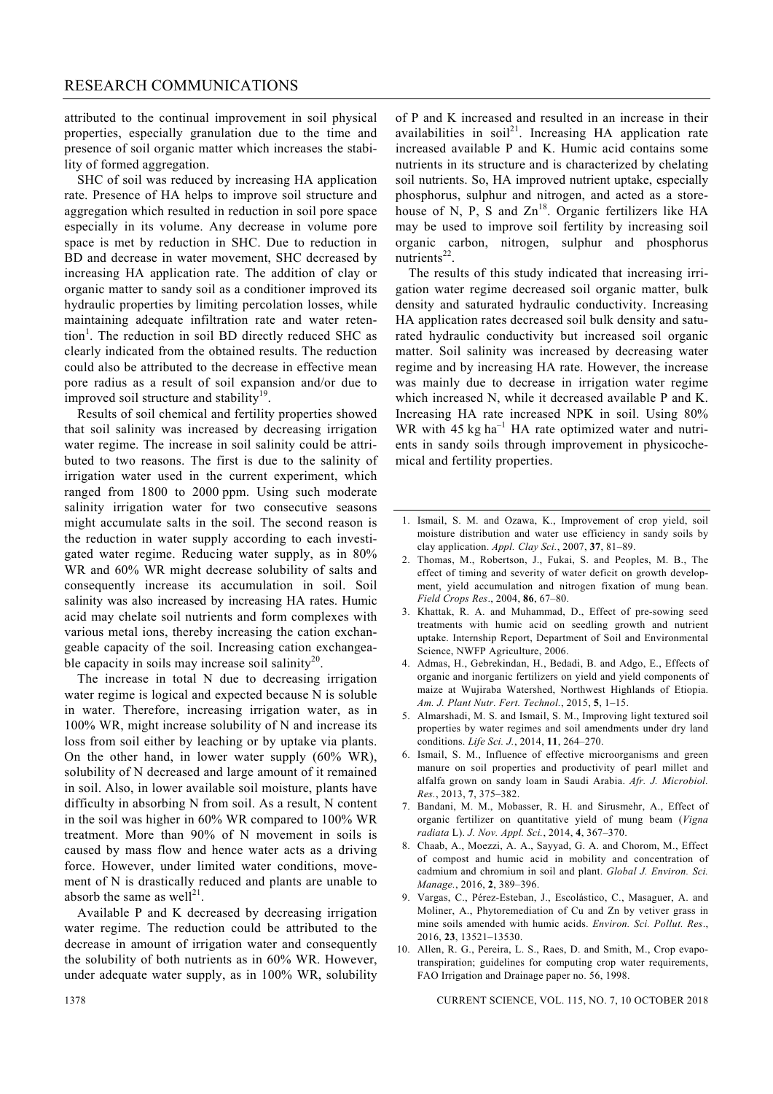attributed to the continual improvement in soil physical properties, especially granulation due to the time and presence of soil organic matter which increases the stability of formed aggregation.

 SHC of soil was reduced by increasing HA application rate. Presence of HA helps to improve soil structure and aggregation which resulted in reduction in soil pore space especially in its volume. Any decrease in volume pore space is met by reduction in SHC. Due to reduction in BD and decrease in water movement, SHC decreased by increasing HA application rate. The addition of clay or organic matter to sandy soil as a conditioner improved its hydraulic properties by limiting percolation losses, while maintaining adequate infiltration rate and water retention<sup>1</sup>. The reduction in soil BD directly reduced SHC as clearly indicated from the obtained results. The reduction could also be attributed to the decrease in effective mean pore radius as a result of soil expansion and/or due to improved soil structure and stability $19$ .

 Results of soil chemical and fertility properties showed that soil salinity was increased by decreasing irrigation water regime. The increase in soil salinity could be attributed to two reasons. The first is due to the salinity of irrigation water used in the current experiment, which ranged from 1800 to 2000 ppm. Using such moderate salinity irrigation water for two consecutive seasons might accumulate salts in the soil. The second reason is the reduction in water supply according to each investigated water regime. Reducing water supply, as in 80% WR and 60% WR might decrease solubility of salts and consequently increase its accumulation in soil. Soil salinity was also increased by increasing HA rates. Humic acid may chelate soil nutrients and form complexes with various metal ions, thereby increasing the cation exchangeable capacity of the soil. Increasing cation exchangeable capacity in soils may increase soil salinity<sup>20</sup>.

 The increase in total N due to decreasing irrigation water regime is logical and expected because N is soluble in water. Therefore, increasing irrigation water, as in 100% WR, might increase solubility of N and increase its loss from soil either by leaching or by uptake via plants. On the other hand, in lower water supply (60% WR), solubility of N decreased and large amount of it remained in soil. Also, in lower available soil moisture, plants have difficulty in absorbing N from soil. As a result, N content in the soil was higher in 60% WR compared to 100% WR treatment. More than 90% of N movement in soils is caused by mass flow and hence water acts as a driving force. However, under limited water conditions, movement of N is drastically reduced and plants are unable to absorb the same as well<sup>21</sup>.

 Available P and K decreased by decreasing irrigation water regime. The reduction could be attributed to the decrease in amount of irrigation water and consequently the solubility of both nutrients as in 60% WR. However, under adequate water supply, as in 100% WR, solubility of P and K increased and resulted in an increase in their availabilities in soil<sup>21</sup>. Increasing HA application rate increased available P and K. Humic acid contains some nutrients in its structure and is characterized by chelating soil nutrients. So, HA improved nutrient uptake, especially phosphorus, sulphur and nitrogen, and acted as a storehouse of N, P, S and  $Zn^{18}$ . Organic fertilizers like HA may be used to improve soil fertility by increasing soil organic carbon, nitrogen, sulphur and phosphorus nutrients $^{22}$ .

 The results of this study indicated that increasing irrigation water regime decreased soil organic matter, bulk density and saturated hydraulic conductivity. Increasing HA application rates decreased soil bulk density and saturated hydraulic conductivity but increased soil organic matter. Soil salinity was increased by decreasing water regime and by increasing HA rate. However, the increase was mainly due to decrease in irrigation water regime which increased N, while it decreased available P and K. Increasing HA rate increased NPK in soil. Using 80% WR with  $45 \text{ kg ha}^{-1}$  HA rate optimized water and nutrients in sandy soils through improvement in physicochemical and fertility properties.

- 1. Ismail, S. M. and Ozawa, K., Improvement of crop yield, soil moisture distribution and water use efficiency in sandy soils by clay application. *Appl. Clay Sci.*, 2007, **37**, 81–89.
- 2. Thomas, M., Robertson, J., Fukai, S. and Peoples, M. B., The effect of timing and severity of water deficit on growth development, yield accumulation and nitrogen fixation of mung bean. *Field Crops Res*., 2004, **86**, 67–80.
- 3. Khattak, R. A. and Muhammad, D., Effect of pre-sowing seed treatments with humic acid on seedling growth and nutrient uptake. Internship Report, Department of Soil and Environmental Science, NWFP Agriculture, 2006.
- 4. Admas, H., Gebrekindan, H., Bedadi, B. and Adgo, E., Effects of organic and inorganic fertilizers on yield and yield components of maize at Wujiraba Watershed, Northwest Highlands of Etiopia. *Am. J. Plant Nutr. Fert. Technol.*, 2015, **5**, 1–15.
- 5. Almarshadi, M. S. and Ismail, S. M., Improving light textured soil properties by water regimes and soil amendments under dry land conditions. *Life Sci. J.*, 2014, **11**, 264–270.
- 6. Ismail, S. M., Influence of effective microorganisms and green manure on soil properties and productivity of pearl millet and alfalfa grown on sandy loam in Saudi Arabia. *Afr. J. Microbiol. Res.*, 2013, **7**, 375–382.
- 7. Bandani, M. M., Mobasser, R. H. and Sirusmehr, A., Effect of organic fertilizer on quantitative yield of mung beam (*Vigna radiata* L). *J. Nov. Appl. Sci.*, 2014, **4**, 367–370.
- 8. Chaab, A., Moezzi, A. A., Sayyad, G. A. and Chorom, M., Effect of compost and humic acid in mobility and concentration of cadmium and chromium in soil and plant. *Global J. Environ. Sci. Manage.*, 2016, **2**, 389–396.
- 9. Vargas, C., Pérez-Esteban, J., Escolástico, C., Masaguer, A. and Moliner, A., Phytoremediation of Cu and Zn by vetiver grass in mine soils amended with humic acids. *Environ. Sci. Pollut. Res*., 2016, **23**, 13521–13530.
- 10. Allen, R. G., Pereira, L. S., Raes, D. and Smith, M., Crop evapotranspiration; guidelines for computing crop water requirements, FAO Irrigation and Drainage paper no. 56, 1998.

1378 CURRENT SCIENCE, VOL. 115, NO. 7, 10 OCTOBER 2018